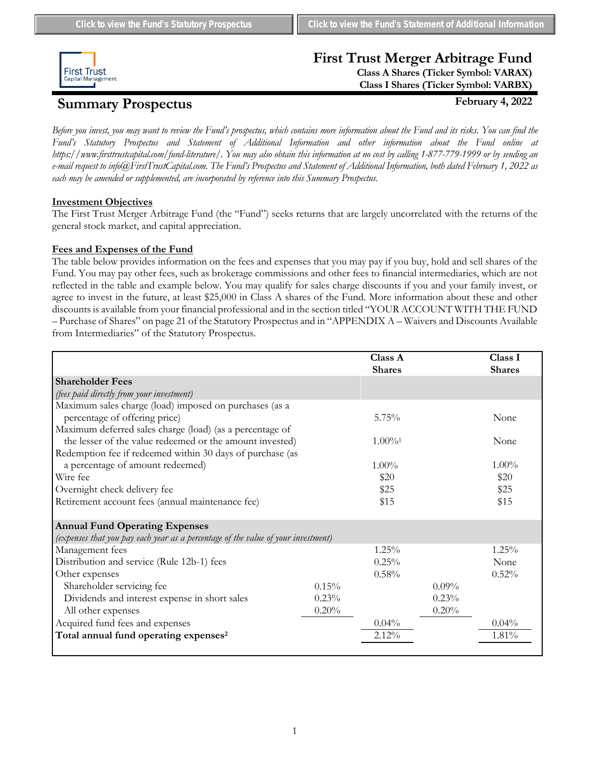

# **First Trust Merger Arbitrage Fund**

**Class A Shares (Ticker Symbol: VARAX) Class I Shares (Ticker Symbol: VARBX)**

# **Summary Prospectus February 4, 2022**

*Before you invest, you may want to review the Fund's prospectus, which contains more information about the Fund and its risks. You can find the Fund's Statutory Prospectus and Statement of Additional Information and other information about the Fund online at https://www.firsttrustcapital.com/fund-literature/. You may also obtain this information at no cost by calling 1-877-779-1999 or by sending an e-mail request to info@FirstTrustCapital.com. The Fund's Prospectus and Statement of Additional Information, both dated February 1, 2022 as each may be amended or supplemented, are incorporated by reference into this Summary Prospectus.*

# **Investment Objectives**

The First Trust Merger Arbitrage Fund (the "Fund") seeks returns that are largely uncorrelated with the returns of the general stock market, and capital appreciation.

# **Fees and Expenses of the Fund**

The table below provides information on the fees and expenses that you may pay if you buy, hold and sell shares of the Fund. You may pay other fees, such as brokerage commissions and other fees to financial intermediaries, which are not reflected in the table and example below. You may qualify for sales charge discounts if you and your family invest, or agree to invest in the future, at least \$25,000 in Class A shares of the Fund. More information about these and other discounts is available from your financial professional and in the section titled "YOUR ACCOUNT WITH THE FUND – Purchase of Shares" on page 21 of the Statutory Prospectus and in "APPENDIX A – Waivers and Discounts Available from Intermediaries" of the Statutory Prospectus.

|                                                                                   |          | Class A<br><b>Shares</b> |          | Class I<br><b>Shares</b> |
|-----------------------------------------------------------------------------------|----------|--------------------------|----------|--------------------------|
| <b>Shareholder Fees</b>                                                           |          |                          |          |                          |
| (fees paid directly from your investment)                                         |          |                          |          |                          |
| Maximum sales charge (load) imposed on purchases (as a                            |          |                          |          |                          |
| percentage of offering price)                                                     |          | $5.75\%$                 |          | None                     |
| Maximum deferred sales charge (load) (as a percentage of                          |          |                          |          |                          |
| the lesser of the value redeemed or the amount invested)                          |          | $1.00\%$ <sup>1</sup>    |          | None                     |
| Redemption fee if redeemed within 30 days of purchase (as                         |          |                          |          |                          |
| a percentage of amount redeemed)                                                  |          | $1.00\%$                 |          | $1.00\%$                 |
| Wire fee                                                                          |          | \$20                     |          | \$20                     |
| Overnight check delivery fee                                                      |          | \$25                     |          | \$25                     |
| Retirement account fees (annual maintenance fee)                                  |          | \$15                     |          | \$15                     |
| <b>Annual Fund Operating Expenses</b>                                             |          |                          |          |                          |
| (expenses that you pay each year as a percentage of the value of your investment) |          |                          |          |                          |
| Management fees                                                                   |          | $1.25\%$                 |          | $1.25\%$                 |
| Distribution and service (Rule 12b-1) fees                                        |          | $0.25\%$                 |          | None                     |
| Other expenses                                                                    |          | 0.58%                    |          | 0.52%                    |
| Shareholder servicing fee                                                         | $0.15\%$ |                          | $0.09\%$ |                          |
| Dividends and interest expense in short sales                                     | 0.23%    |                          | 0.23%    |                          |
| All other expenses                                                                | 0.20%    |                          | 0.20%    |                          |
| Acquired fund fees and expenses                                                   |          | 0.04%                    |          | $0.04\%$                 |
| Total annual fund operating expenses <sup>2</sup>                                 |          | $2.12\%$                 |          | 1.81%                    |
|                                                                                   |          |                          |          |                          |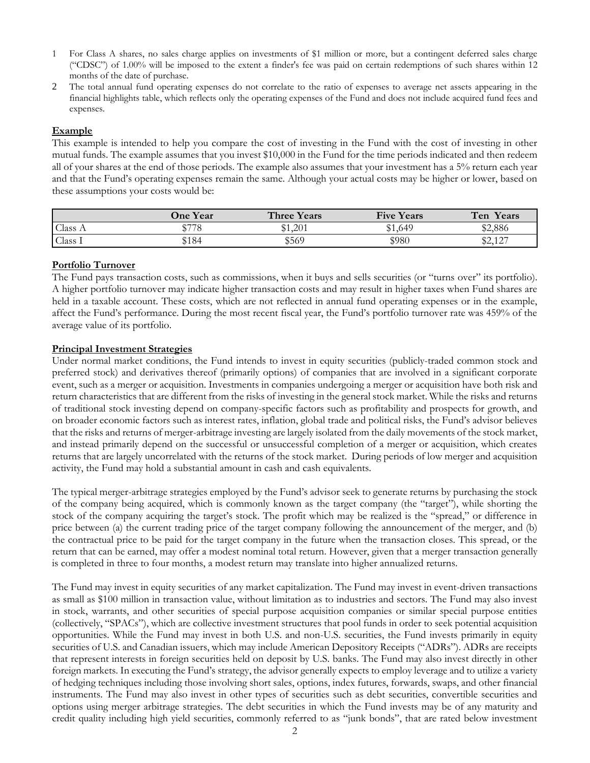- 1 For Class A shares, no sales charge applies on investments of \$1 million or more, but a contingent deferred sales charge ("CDSC") of 1.00% will be imposed to the extent a finder's fee was paid on certain redemptions of such shares within 12 months of the date of purchase.
- 2 The total annual fund operating expenses do not correlate to the ratio of expenses to average net assets appearing in the financial highlights table, which reflects only the operating expenses of the Fund and does not include acquired fund fees and expenses.

#### **Example**

This example is intended to help you compare the cost of investing in the Fund with the cost of investing in other mutual funds. The example assumes that you invest \$10,000 in the Fund for the time periods indicated and then redeem all of your shares at the end of those periods. The example also assumes that your investment has a 5% return each year and that the Fund's operating expenses remain the same. Although your actual costs may be higher or lower, based on these assumptions your costs would be:

|                    | <b>One Year</b> | <b>Three Years</b> | <b>Five Years</b> | Ten<br>Years           |
|--------------------|-----------------|--------------------|-------------------|------------------------|
| Class A            | \$778           | \$1,201<br>ረት 1    | \$1,649           | \$2,886                |
| Class <sub>1</sub> | \$184           | \$569              | \$980             | <b>ድኃ 197</b><br>94.IA |

# **Portfolio Turnover**

The Fund pays transaction costs, such as commissions, when it buys and sells securities (or "turns over" its portfolio). A higher portfolio turnover may indicate higher transaction costs and may result in higher taxes when Fund shares are held in a taxable account. These costs, which are not reflected in annual fund operating expenses or in the example, affect the Fund's performance. During the most recent fiscal year, the Fund's portfolio turnover rate was 459% of the average value of its portfolio.

#### **Principal Investment Strategies**

Under normal market conditions, the Fund intends to invest in equity securities (publicly-traded common stock and preferred stock) and derivatives thereof (primarily options) of companies that are involved in a significant corporate event, such as a merger or acquisition. Investments in companies undergoing a merger or acquisition have both risk and return characteristics that are different from the risks of investing in the general stock market. While the risks and returns of traditional stock investing depend on company-specific factors such as profitability and prospects for growth, and on broader economic factors such as interest rates, inflation, global trade and political risks, the Fund's advisor believes that the risks and returns of merger-arbitrage investing are largely isolated from the daily movements of the stock market, and instead primarily depend on the successful or unsuccessful completion of a merger or acquisition, which creates returns that are largely uncorrelated with the returns of the stock market. During periods of low merger and acquisition activity, the Fund may hold a substantial amount in cash and cash equivalents.

The typical merger-arbitrage strategies employed by the Fund's advisor seek to generate returns by purchasing the stock of the company being acquired, which is commonly known as the target company (the "target"), while shorting the stock of the company acquiring the target's stock. The profit which may be realized is the "spread," or difference in price between (a) the current trading price of the target company following the announcement of the merger, and (b) the contractual price to be paid for the target company in the future when the transaction closes. This spread, or the return that can be earned, may offer a modest nominal total return. However, given that a merger transaction generally is completed in three to four months, a modest return may translate into higher annualized returns.

The Fund may invest in equity securities of any market capitalization. The Fund may invest in event-driven transactions as small as \$100 million in transaction value, without limitation as to industries and sectors. The Fund may also invest in stock, warrants, and other securities of special purpose acquisition companies or similar special purpose entities (collectively, "SPACs"), which are collective investment structures that pool funds in order to seek potential acquisition opportunities. While the Fund may invest in both U.S. and non-U.S. securities, the Fund invests primarily in equity securities of U.S. and Canadian issuers, which may include American Depository Receipts ("ADRs"). ADRs are receipts that represent interests in foreign securities held on deposit by U.S. banks. The Fund may also invest directly in other foreign markets. In executing the Fund's strategy, the advisor generally expects to employ leverage and to utilize a variety of hedging techniques including those involving short sales, options, index futures, forwards, swaps, and other financial instruments. The Fund may also invest in other types of securities such as debt securities, convertible securities and options using merger arbitrage strategies. The debt securities in which the Fund invests may be of any maturity and credit quality including high yield securities, commonly referred to as "junk bonds", that are rated below investment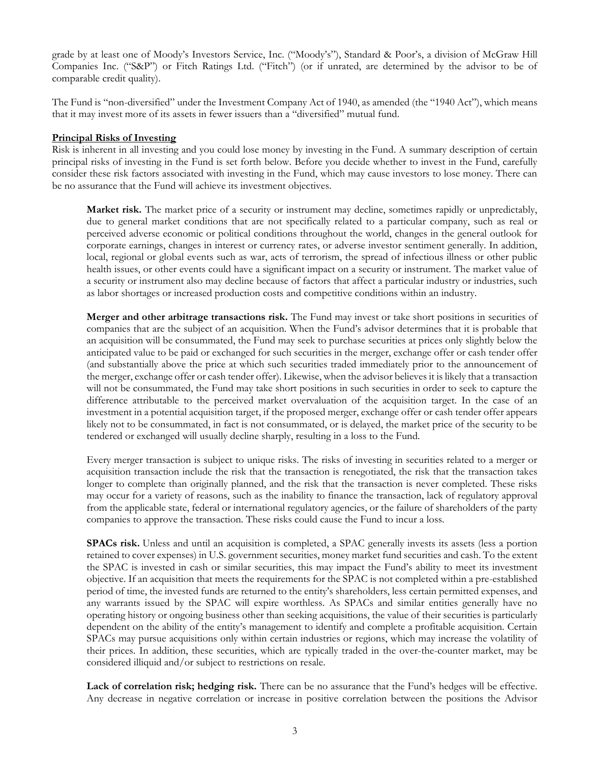grade by at least one of Moody's Investors Service, Inc. ("Moody's"), Standard & Poor's, a division of McGraw Hill Companies Inc. ("S&P") or Fitch Ratings Ltd. ("Fitch") (or if unrated, are determined by the advisor to be of comparable credit quality).

The Fund is "non-diversified" under the Investment Company Act of 1940, as amended (the "1940 Act"), which means that it may invest more of its assets in fewer issuers than a "diversified" mutual fund.

#### **Principal Risks of Investing**

Risk is inherent in all investing and you could lose money by investing in the Fund. A summary description of certain principal risks of investing in the Fund is set forth below. Before you decide whether to invest in the Fund, carefully consider these risk factors associated with investing in the Fund, which may cause investors to lose money. There can be no assurance that the Fund will achieve its investment objectives.

**Market risk.** The market price of a security or instrument may decline, sometimes rapidly or unpredictably, due to general market conditions that are not specifically related to a particular company, such as real or perceived adverse economic or political conditions throughout the world, changes in the general outlook for corporate earnings, changes in interest or currency rates, or adverse investor sentiment generally. In addition, local, regional or global events such as war, acts of terrorism, the spread of infectious illness or other public health issues, or other events could have a significant impact on a security or instrument. The market value of a security or instrument also may decline because of factors that affect a particular industry or industries, such as labor shortages or increased production costs and competitive conditions within an industry.

**Merger and other arbitrage transactions risk.** The Fund may invest or take short positions in securities of companies that are the subject of an acquisition. When the Fund's advisor determines that it is probable that an acquisition will be consummated, the Fund may seek to purchase securities at prices only slightly below the anticipated value to be paid or exchanged for such securities in the merger, exchange offer or cash tender offer (and substantially above the price at which such securities traded immediately prior to the announcement of the merger, exchange offer or cash tender offer). Likewise, when the advisor believes it is likely that a transaction will not be consummated, the Fund may take short positions in such securities in order to seek to capture the difference attributable to the perceived market overvaluation of the acquisition target. In the case of an investment in a potential acquisition target, if the proposed merger, exchange offer or cash tender offer appears likely not to be consummated, in fact is not consummated, or is delayed, the market price of the security to be tendered or exchanged will usually decline sharply, resulting in a loss to the Fund.

Every merger transaction is subject to unique risks. The risks of investing in securities related to a merger or acquisition transaction include the risk that the transaction is renegotiated, the risk that the transaction takes longer to complete than originally planned, and the risk that the transaction is never completed. These risks may occur for a variety of reasons, such as the inability to finance the transaction, lack of regulatory approval from the applicable state, federal or international regulatory agencies, or the failure of shareholders of the party companies to approve the transaction. These risks could cause the Fund to incur a loss.

**SPACs risk.** Unless and until an acquisition is completed, a SPAC generally invests its assets (less a portion retained to cover expenses) in U.S. government securities, money market fund securities and cash. To the extent the SPAC is invested in cash or similar securities, this may impact the Fund's ability to meet its investment objective. If an acquisition that meets the requirements for the SPAC is not completed within a pre-established period of time, the invested funds are returned to the entity's shareholders, less certain permitted expenses, and any warrants issued by the SPAC will expire worthless. As SPACs and similar entities generally have no operating history or ongoing business other than seeking acquisitions, the value of their securities is particularly dependent on the ability of the entity's management to identify and complete a profitable acquisition. Certain SPACs may pursue acquisitions only within certain industries or regions, which may increase the volatility of their prices. In addition, these securities, which are typically traded in the over-the-counter market, may be considered illiquid and/or subject to restrictions on resale.

Lack of correlation risk; hedging risk. There can be no assurance that the Fund's hedges will be effective. Any decrease in negative correlation or increase in positive correlation between the positions the Advisor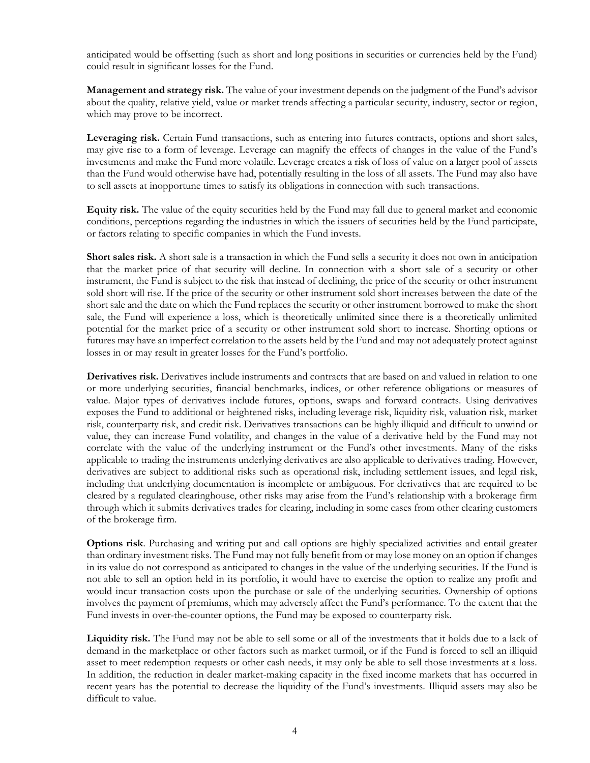anticipated would be offsetting (such as short and long positions in securities or currencies held by the Fund) could result in significant losses for the Fund.

**Management and strategy risk.** The value of your investment depends on the judgment of the Fund's advisor about the quality, relative yield, value or market trends affecting a particular security, industry, sector or region, which may prove to be incorrect.

**Leveraging risk.** Certain Fund transactions, such as entering into futures contracts, options and short sales, may give rise to a form of leverage. Leverage can magnify the effects of changes in the value of the Fund's investments and make the Fund more volatile. Leverage creates a risk of loss of value on a larger pool of assets than the Fund would otherwise have had, potentially resulting in the loss of all assets. The Fund may also have to sell assets at inopportune times to satisfy its obligations in connection with such transactions.

**Equity risk.** The value of the equity securities held by the Fund may fall due to general market and economic conditions, perceptions regarding the industries in which the issuers of securities held by the Fund participate, or factors relating to specific companies in which the Fund invests.

**Short sales risk.** A short sale is a transaction in which the Fund sells a security it does not own in anticipation that the market price of that security will decline. In connection with a short sale of a security or other instrument, the Fund is subject to the risk that instead of declining, the price of the security or other instrument sold short will rise. If the price of the security or other instrument sold short increases between the date of the short sale and the date on which the Fund replaces the security or other instrument borrowed to make the short sale, the Fund will experience a loss, which is theoretically unlimited since there is a theoretically unlimited potential for the market price of a security or other instrument sold short to increase. Shorting options or futures may have an imperfect correlation to the assets held by the Fund and may not adequately protect against losses in or may result in greater losses for the Fund's portfolio.

**Derivatives risk.** Derivatives include instruments and contracts that are based on and valued in relation to one or more underlying securities, financial benchmarks, indices, or other reference obligations or measures of value. Major types of derivatives include futures, options, swaps and forward contracts. Using derivatives exposes the Fund to additional or heightened risks, including leverage risk, liquidity risk, valuation risk, market risk, counterparty risk, and credit risk. Derivatives transactions can be highly illiquid and difficult to unwind or value, they can increase Fund volatility, and changes in the value of a derivative held by the Fund may not correlate with the value of the underlying instrument or the Fund's other investments. Many of the risks applicable to trading the instruments underlying derivatives are also applicable to derivatives trading. However, derivatives are subject to additional risks such as operational risk, including settlement issues, and legal risk, including that underlying documentation is incomplete or ambiguous. For derivatives that are required to be cleared by a regulated clearinghouse, other risks may arise from the Fund's relationship with a brokerage firm through which it submits derivatives trades for clearing, including in some cases from other clearing customers of the brokerage firm.

**Options risk**. Purchasing and writing put and call options are highly specialized activities and entail greater than ordinary investment risks. The Fund may not fully benefit from or may lose money on an option if changes in its value do not correspond as anticipated to changes in the value of the underlying securities. If the Fund is not able to sell an option held in its portfolio, it would have to exercise the option to realize any profit and would incur transaction costs upon the purchase or sale of the underlying securities. Ownership of options involves the payment of premiums, which may adversely affect the Fund's performance. To the extent that the Fund invests in over-the-counter options, the Fund may be exposed to counterparty risk.

**Liquidity risk.** The Fund may not be able to sell some or all of the investments that it holds due to a lack of demand in the marketplace or other factors such as market turmoil, or if the Fund is forced to sell an illiquid asset to meet redemption requests or other cash needs, it may only be able to sell those investments at a loss. In addition, the reduction in dealer market-making capacity in the fixed income markets that has occurred in recent years has the potential to decrease the liquidity of the Fund's investments. Illiquid assets may also be difficult to value.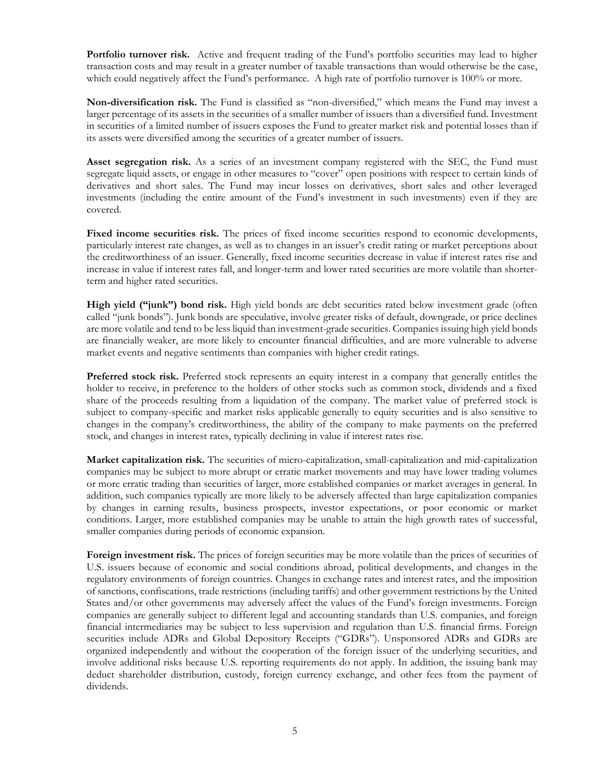**Portfolio turnover risk.** Active and frequent trading of the Fund's portfolio securities may lead to higher transaction costs and may result in a greater number of taxable transactions than would otherwise be the case, which could negatively affect the Fund's performance. A high rate of portfolio turnover is 100% or more.

**Non-diversification risk.** The Fund is classified as "non-diversified," which means the Fund may invest a larger percentage of its assets in the securities of a smaller number of issuers than a diversified fund. Investment in securities of a limited number of issuers exposes the Fund to greater market risk and potential losses than if its assets were diversified among the securities of a greater number of issuers.

**Asset segregation risk.** As a series of an investment company registered with the SEC, the Fund must segregate liquid assets, or engage in other measures to "cover" open positions with respect to certain kinds of derivatives and short sales. The Fund may incur losses on derivatives, short sales and other leveraged investments (including the entire amount of the Fund's investment in such investments) even if they are covered.

Fixed income securities risk. The prices of fixed income securities respond to economic developments, particularly interest rate changes, as well as to changes in an issuer's credit rating or market perceptions about the creditworthiness of an issuer. Generally, fixed income securities decrease in value if interest rates rise and increase in value if interest rates fall, and longer-term and lower rated securities are more volatile than shorterterm and higher rated securities.

**High yield ("junk") bond risk.** High yield bonds are debt securities rated below investment grade (often called "junk bonds"). Junk bonds are speculative, involve greater risks of default, downgrade, or price declines are more volatile and tend to be less liquid than investment-grade securities. Companies issuing high yield bonds are financially weaker, are more likely to encounter financial difficulties, and are more vulnerable to adverse market events and negative sentiments than companies with higher credit ratings.

**Preferred stock risk.** Preferred stock represents an equity interest in a company that generally entitles the holder to receive, in preference to the holders of other stocks such as common stock, dividends and a fixed share of the proceeds resulting from a liquidation of the company. The market value of preferred stock is subject to company-specific and market risks applicable generally to equity securities and is also sensitive to changes in the company's creditworthiness, the ability of the company to make payments on the preferred stock, and changes in interest rates, typically declining in value if interest rates rise.

**Market capitalization risk.** The securities of micro-capitalization, small-capitalization and mid-capitalization companies may be subject to more abrupt or erratic market movements and may have lower trading volumes or more erratic trading than securities of larger, more established companies or market averages in general. In addition, such companies typically are more likely to be adversely affected than large capitalization companies by changes in earning results, business prospects, investor expectations, or poor economic or market conditions. Larger, more established companies may be unable to attain the high growth rates of successful, smaller companies during periods of economic expansion.

Foreign investment risk. The prices of foreign securities may be more volatile than the prices of securities of U.S. issuers because of economic and social conditions abroad, political developments, and changes in the regulatory environments of foreign countries. Changes in exchange rates and interest rates, and the imposition of sanctions, confiscations, trade restrictions (including tariffs) and other government restrictions by the United States and/or other governments may adversely affect the values of the Fund's foreign investments. Foreign companies are generally subject to different legal and accounting standards than U.S. companies, and foreign financial intermediaries may be subject to less supervision and regulation than U.S. financial firms. Foreign securities include ADRs and Global Depository Receipts ("GDRs"). Unsponsored ADRs and GDRs are organized independently and without the cooperation of the foreign issuer of the underlying securities, and involve additional risks because U.S. reporting requirements do not apply. In addition, the issuing bank may deduct shareholder distribution, custody, foreign currency exchange, and other fees from the payment of dividends.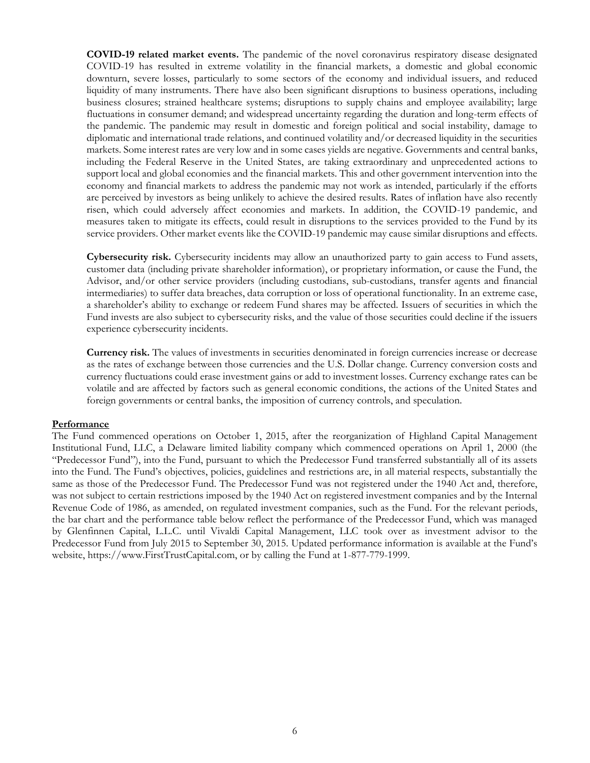**COVID-19 related market events.** The pandemic of the novel coronavirus respiratory disease designated COVID-19 has resulted in extreme volatility in the financial markets, a domestic and global economic downturn, severe losses, particularly to some sectors of the economy and individual issuers, and reduced liquidity of many instruments. There have also been significant disruptions to business operations, including business closures; strained healthcare systems; disruptions to supply chains and employee availability; large fluctuations in consumer demand; and widespread uncertainty regarding the duration and long-term effects of the pandemic. The pandemic may result in domestic and foreign political and social instability, damage to diplomatic and international trade relations, and continued volatility and/or decreased liquidity in the securities markets. Some interest rates are very low and in some cases yields are negative. Governments and central banks, including the Federal Reserve in the United States, are taking extraordinary and unprecedented actions to support local and global economies and the financial markets. This and other government intervention into the economy and financial markets to address the pandemic may not work as intended, particularly if the efforts are perceived by investors as being unlikely to achieve the desired results. Rates of inflation have also recently risen, which could adversely affect economies and markets. In addition, the COVID-19 pandemic, and measures taken to mitigate its effects, could result in disruptions to the services provided to the Fund by its service providers. Other market events like the COVID-19 pandemic may cause similar disruptions and effects.

**Cybersecurity risk.** Cybersecurity incidents may allow an unauthorized party to gain access to Fund assets, customer data (including private shareholder information), or proprietary information, or cause the Fund, the Advisor, and/or other service providers (including custodians, sub-custodians, transfer agents and financial intermediaries) to suffer data breaches, data corruption or loss of operational functionality. In an extreme case, a shareholder's ability to exchange or redeem Fund shares may be affected. Issuers of securities in which the Fund invests are also subject to cybersecurity risks, and the value of those securities could decline if the issuers experience cybersecurity incidents.

**Currency risk.** The values of investments in securities denominated in foreign currencies increase or decrease as the rates of exchange between those currencies and the U.S. Dollar change. Currency conversion costs and currency fluctuations could erase investment gains or add to investment losses. Currency exchange rates can be volatile and are affected by factors such as general economic conditions, the actions of the United States and foreign governments or central banks, the imposition of currency controls, and speculation.

#### **Performance**

The Fund commenced operations on October 1, 2015, after the reorganization of Highland Capital Management Institutional Fund, LLC, a Delaware limited liability company which commenced operations on April 1, 2000 (the "Predecessor Fund"), into the Fund, pursuant to which the Predecessor Fund transferred substantially all of its assets into the Fund. The Fund's objectives, policies, guidelines and restrictions are, in all material respects, substantially the same as those of the Predecessor Fund. The Predecessor Fund was not registered under the 1940 Act and, therefore, was not subject to certain restrictions imposed by the 1940 Act on registered investment companies and by the Internal Revenue Code of 1986, as amended, on regulated investment companies, such as the Fund. For the relevant periods, the bar chart and the performance table below reflect the performance of the Predecessor Fund, which was managed by Glenfinnen Capital, L.L.C. until Vivaldi Capital Management, LLC took over as investment advisor to the Predecessor Fund from July 2015 to September 30, 2015. Updated performance information is available at the Fund's website, https://www.FirstTrustCapital.com, or by calling the Fund at 1-877-779-1999.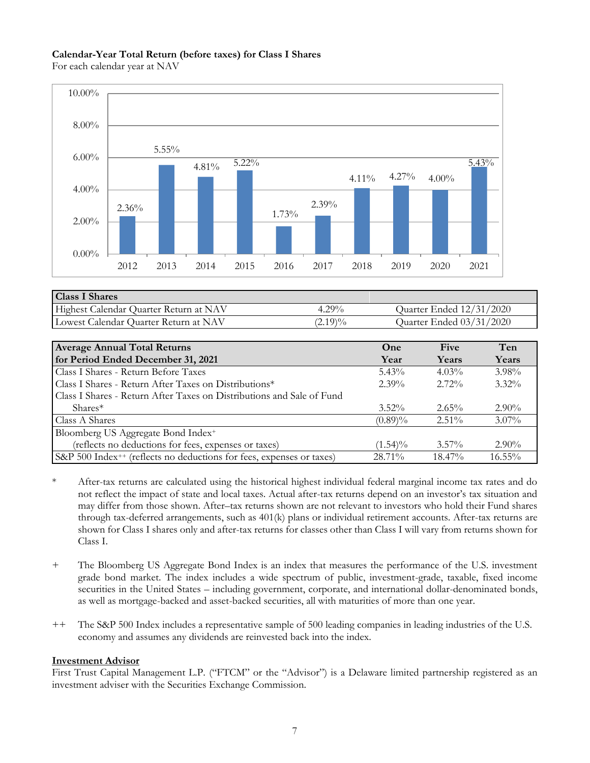#### **Calendar-Year Total Return (before taxes) for Class I Shares**

For each calendar year at NAV



| <b>Class I Shares</b>                  |            |                          |
|----------------------------------------|------------|--------------------------|
| Highest Calendar Quarter Return at NAV | $4.29\%$   | Quarter Ended 12/31/2020 |
| Lowest Calendar Quarter Return at NAV  | $(2.19)\%$ | Quarter Ended 03/31/2020 |

| <b>Average Annual Total Returns</b>                                              | One        | Five      | Ten      |
|----------------------------------------------------------------------------------|------------|-----------|----------|
| for Period Ended December 31, 2021                                               | Year       | Years     | Years    |
| Class I Shares - Return Before Taxes                                             | $5.43\%$   | $4.03\%$  | $3.98\%$ |
| Class I Shares - Return After Taxes on Distributions*                            | $2.39\%$   | $2.72\%$  | $3.32\%$ |
| Class I Shares - Return After Taxes on Distributions and Sale of Fund            |            |           |          |
| $Shares*$                                                                        | $3.52\%$   | $2.65\%$  | $2.90\%$ |
| Class A Shares                                                                   | $(0.89)\%$ | $2.51\%$  | $3.07\%$ |
| Bloomberg US Aggregate Bond Index <sup>+</sup>                                   |            |           |          |
| (reflects no deductions for fees, expenses or taxes)                             | $(1.54)\%$ | $3.57\%$  | $2.90\%$ |
| S&P 500 Index <sup>++</sup> (reflects no deductions for fees, expenses or taxes) | 28.71%     | $18.47\%$ | 16.55%   |

- \* After-tax returns are calculated using the historical highest individual federal marginal income tax rates and do not reflect the impact of state and local taxes. Actual after-tax returns depend on an investor's tax situation and may differ from those shown. After–tax returns shown are not relevant to investors who hold their Fund shares through tax-deferred arrangements, such as 401(k) plans or individual retirement accounts. After-tax returns are shown for Class I shares only and after-tax returns for classes other than Class I will vary from returns shown for Class I.
- + The Bloomberg US Aggregate Bond Index is an index that measures the performance of the U.S. investment grade bond market. The index includes a wide spectrum of public, investment-grade, taxable, fixed income securities in the United States – including government, corporate, and international dollar-denominated bonds, as well as mortgage-backed and asset-backed securities, all with maturities of more than one year.
- ++ The S&P 500 Index includes a representative sample of 500 leading companies in leading industries of the U.S. economy and assumes any dividends are reinvested back into the index.

# **Investment Advisor**

First Trust Capital Management L.P. ("FTCM" or the "Advisor") is a Delaware limited partnership registered as an investment adviser with the Securities Exchange Commission.